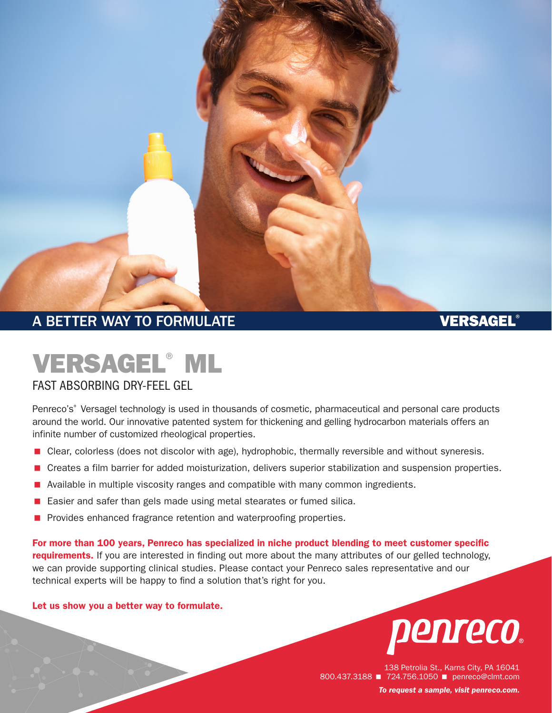

# VERSAGEL® ML

#### FAST ABSORBING DRY-FEEL GEL

Penreco's<sup>®</sup> Versagel technology is used in thousands of cosmetic, pharmaceutical and personal care products around the world. Our innovative patented system for thickening and gelling hydrocarbon materials offers an infinite number of customized rheological properties.

- **E** Clear, colorless (does not discolor with age), hydrophobic, thermally reversible and without syneresis.
- < Creates a film barrier for added moisturization, delivers superior stabilization and suspension properties.
- Available in multiple viscosity ranges and compatible with many common ingredients.
- < Easier and safer than gels made using metal stearates or fumed silica.
- **Provides enhanced fragrance retention and waterproofing properties.**

For more than 100 years, Penreco has specialized in niche product blending to meet customer specific requirements. If you are interested in finding out more about the many attributes of our gelled technology, we can provide supporting clinical studies. Please contact your Penreco sales representative and our technical experts will be happy to find a solution that's right for you.

#### Let us show you a better way to formulate.



138 Petrolia St., Karns City, PA 16041 800.437.3188 **1 724.756.1050** penreco@clmt.com *To request a sample, visit [penreco.com](http://penreco.com/).*